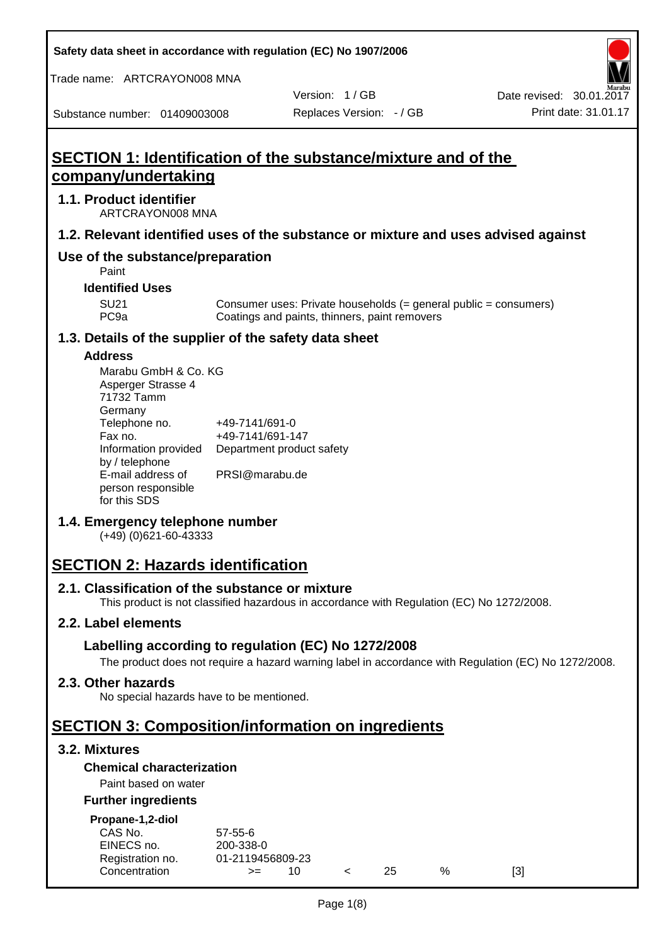**Safety data sheet in accordance with regulation (EC) No 1907/2006**

Trade name: ARTCRAYON008 MNA

Version: 1 / GB

Substance number: 01409003008

# **SECTION 1: Identification of the substance/mixture and of the company/undertaking**

#### **1.1. Product identifier**

ARTCRAYON008 MNA

#### **1.2. Relevant identified uses of the substance or mixture and uses advised against**

# **Use of the substance/preparation**

Paint

**Identified Uses**

SU21 Consumer uses: Private households (= general public = consumers)<br>PC9a Coatings and paints, thinners, paint removers Coatings and paints, thinners, paint removers

#### **1.3. Details of the supplier of the safety data sheet**

#### **Address**

| Marabu GmbH & Co. KG |                           |
|----------------------|---------------------------|
| Asperger Strasse 4   |                           |
| 71732 Tamm           |                           |
| Germany              |                           |
| Telephone no.        | +49-7141/691-0            |
| Fax no.              | +49-7141/691-147          |
| Information provided | Department product safety |
| by / telephone       |                           |
| E-mail address of    | PRSI@marabu.de            |
| person responsible   |                           |
| for this SDS         |                           |

## **1.4. Emergency telephone number**

(+49) (0)621-60-43333

# **SECTION 2: Hazards identification**

#### **2.1. Classification of the substance or mixture**

This product is not classified hazardous in accordance with Regulation (EC) No 1272/2008.

## **2.2. Label elements**

## **Labelling according to regulation (EC) No 1272/2008**

The product does not require a hazard warning label in accordance with Regulation (EC) No 1272/2008.

#### **2.3. Other hazards**

No special hazards have to be mentioned.

# **SECTION 3: Composition/information on ingredients**

## **3.2. Mixtures**

## **Chemical characterization**

## Paint based on water

#### **Further ingredients**

| Propane-1,2-diol |  |
|------------------|--|
|                  |  |

| CAS No.          | $57 - 55 - 6$    |     |     |   |     |
|------------------|------------------|-----|-----|---|-----|
| EINECS no.       | 200-338-0        |     |     |   |     |
| Registration no. | 01-2119456809-23 |     |     |   |     |
| Concentration    | $>=$             | 10. | 25. | % | [3] |
|                  |                  |     |     |   |     |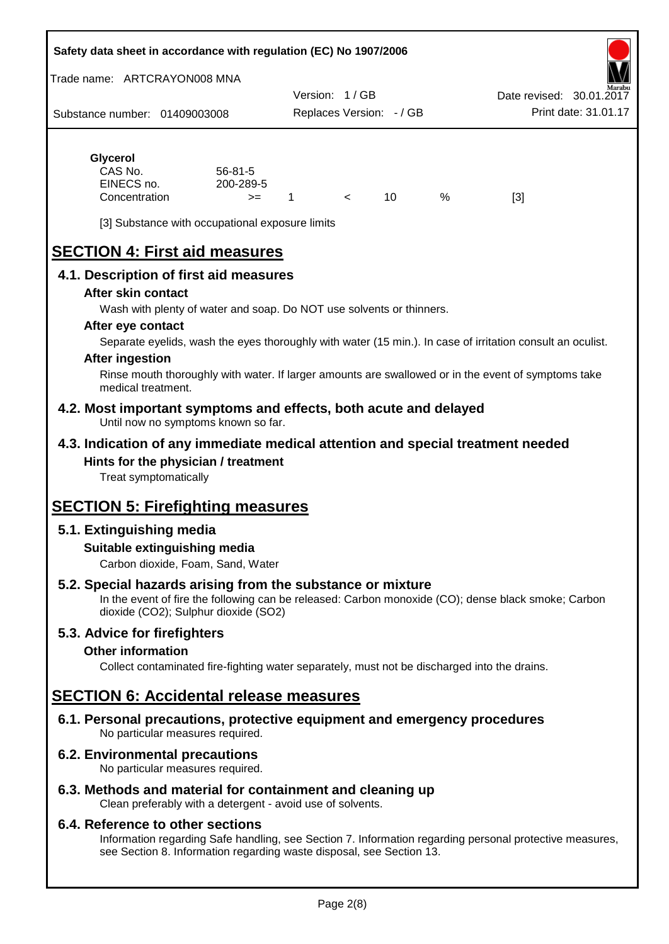#### **Safety data sheet in accordance with regulation (EC) No 1907/2006**

Trade name: ARTCRAYON008 MNA

Substance number: 01409003008 Version: 1 / GB Replaces Version: - / GB Print date: 31.01.17 Date revised: 30.01.2

# **Glycerol** CAS No. 56-81-5

| CAS No.       | $56 - 81 - 5$ |  |   |     |
|---------------|---------------|--|---|-----|
| EINECS no.    | 200-289-5     |  |   |     |
| Concentration | $>=$          |  | % | [3] |

[3] Substance with occupational exposure limits

# **SECTION 4: First aid measures**

## **4.1. Description of first aid measures**

#### **After skin contact**

Wash with plenty of water and soap. Do NOT use solvents or thinners.

#### **After eye contact**

Separate eyelids, wash the eyes thoroughly with water (15 min.). In case of irritation consult an oculist.

#### **After ingestion**

Rinse mouth thoroughly with water. If larger amounts are swallowed or in the event of symptoms take medical treatment.

#### **4.2. Most important symptoms and effects, both acute and delayed** Until now no symptoms known so far.

## **4.3. Indication of any immediate medical attention and special treatment needed Hints for the physician / treatment**

Treat symptomatically

# **SECTION 5: Firefighting measures**

# **5.1. Extinguishing media**

## **Suitable extinguishing media**

Carbon dioxide, Foam, Sand, Water

# **5.2. Special hazards arising from the substance or mixture**

In the event of fire the following can be released: Carbon monoxide (CO); dense black smoke; Carbon dioxide (CO2); Sulphur dioxide (SO2)

## **5.3. Advice for firefighters**

#### **Other information**

Collect contaminated fire-fighting water separately, must not be discharged into the drains.

# **SECTION 6: Accidental release measures**

**6.1. Personal precautions, protective equipment and emergency procedures** No particular measures required.

## **6.2. Environmental precautions**

No particular measures required.

## **6.3. Methods and material for containment and cleaning up**

Clean preferably with a detergent - avoid use of solvents.

#### **6.4. Reference to other sections**

Information regarding Safe handling, see Section 7. Information regarding personal protective measures, see Section 8. Information regarding waste disposal, see Section 13.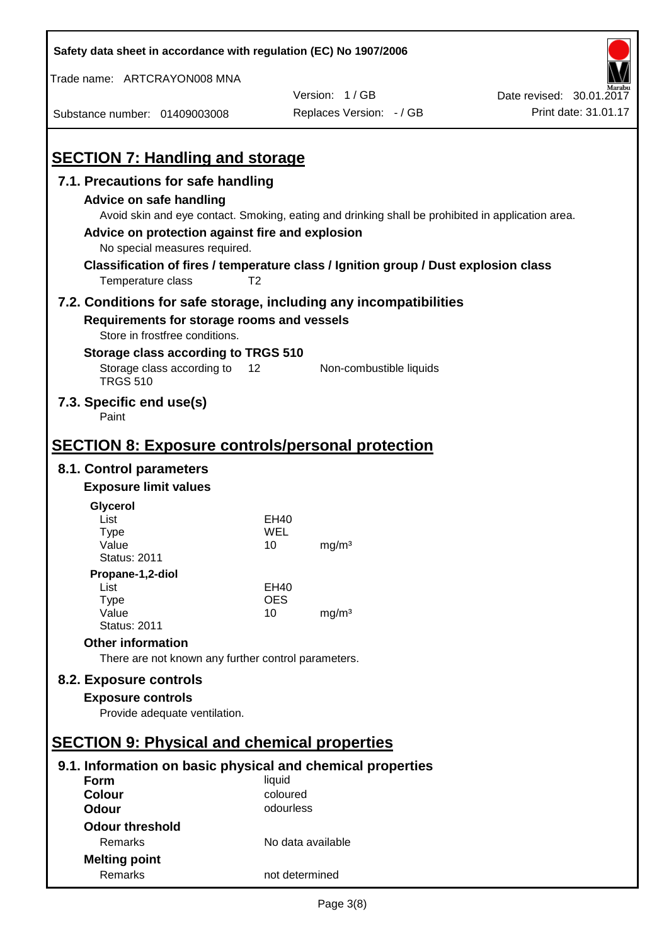| Safety data sheet in accordance with regulation (EC) No 1907/2006                                                                                 |                   |                                                                                                                                                                                          |                          |
|---------------------------------------------------------------------------------------------------------------------------------------------------|-------------------|------------------------------------------------------------------------------------------------------------------------------------------------------------------------------------------|--------------------------|
| Trade name: ARTCRAYON008 MNA                                                                                                                      |                   |                                                                                                                                                                                          |                          |
|                                                                                                                                                   |                   | Version: 1/GB                                                                                                                                                                            | Date revised: 30.01.2017 |
| Substance number: 01409003008                                                                                                                     |                   | Replaces Version: - / GB                                                                                                                                                                 | Print date: 31.01.17     |
| <b>SECTION 7: Handling and storage</b>                                                                                                            |                   |                                                                                                                                                                                          |                          |
| 7.1. Precautions for safe handling                                                                                                                |                   |                                                                                                                                                                                          |                          |
| <b>Advice on safe handling</b><br>Advice on protection against fire and explosion<br>No special measures required.<br>Temperature class           | T <sub>2</sub>    | Avoid skin and eye contact. Smoking, eating and drinking shall be prohibited in application area.<br>Classification of fires / temperature class / Ignition group / Dust explosion class |                          |
| 7.2. Conditions for safe storage, including any incompatibilities<br>Requirements for storage rooms and vessels<br>Store in frostfree conditions. |                   |                                                                                                                                                                                          |                          |
| Storage class according to TRGS 510<br>Storage class according to<br><b>TRGS 510</b>                                                              | 12                | Non-combustible liquids                                                                                                                                                                  |                          |
| 7.3. Specific end use(s)<br>Paint                                                                                                                 |                   |                                                                                                                                                                                          |                          |
| <b>SECTION 8: Exposure controls/personal protection</b>                                                                                           |                   |                                                                                                                                                                                          |                          |
| 8.1. Control parameters                                                                                                                           |                   |                                                                                                                                                                                          |                          |
| <b>Exposure limit values</b>                                                                                                                      |                   |                                                                                                                                                                                          |                          |
| Glycerol                                                                                                                                          |                   |                                                                                                                                                                                          |                          |
| List                                                                                                                                              | EH40              |                                                                                                                                                                                          |                          |
| Type<br>Value                                                                                                                                     | WEL<br>10         | mg/m <sup>3</sup>                                                                                                                                                                        |                          |
| <b>Status: 2011</b>                                                                                                                               |                   |                                                                                                                                                                                          |                          |
| Propane-1,2-diol                                                                                                                                  |                   |                                                                                                                                                                                          |                          |
| List                                                                                                                                              | EH40              |                                                                                                                                                                                          |                          |
| <b>Type</b><br>Value                                                                                                                              | <b>OES</b><br>10  | mg/m <sup>3</sup>                                                                                                                                                                        |                          |
| <b>Status: 2011</b>                                                                                                                               |                   |                                                                                                                                                                                          |                          |
| <b>Other information</b>                                                                                                                          |                   |                                                                                                                                                                                          |                          |
| There are not known any further control parameters.                                                                                               |                   |                                                                                                                                                                                          |                          |
| 8.2. Exposure controls                                                                                                                            |                   |                                                                                                                                                                                          |                          |
| <b>Exposure controls</b>                                                                                                                          |                   |                                                                                                                                                                                          |                          |
| Provide adequate ventilation.                                                                                                                     |                   |                                                                                                                                                                                          |                          |
| <b>SECTION 9: Physical and chemical properties</b>                                                                                                |                   |                                                                                                                                                                                          |                          |
| 9.1. Information on basic physical and chemical properties                                                                                        |                   |                                                                                                                                                                                          |                          |
| Form                                                                                                                                              | liquid            |                                                                                                                                                                                          |                          |
| <b>Colour</b>                                                                                                                                     | coloured          |                                                                                                                                                                                          |                          |
| <b>Odour</b>                                                                                                                                      | odourless         |                                                                                                                                                                                          |                          |
| <b>Odour threshold</b>                                                                                                                            |                   |                                                                                                                                                                                          |                          |
| Remarks                                                                                                                                           | No data available |                                                                                                                                                                                          |                          |
| <b>Melting point</b>                                                                                                                              |                   |                                                                                                                                                                                          |                          |
| Remarks                                                                                                                                           | not determined    |                                                                                                                                                                                          |                          |

 $\mathbf{r}$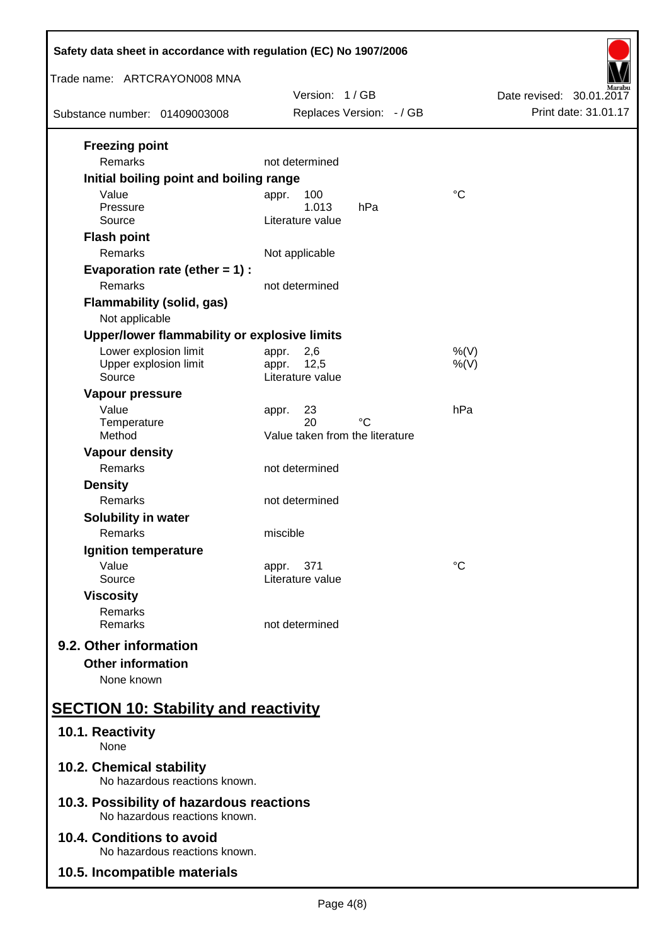| Safety data sheet in accordance with regulation (EC) No 1907/2006         |                                                            |                          |  |
|---------------------------------------------------------------------------|------------------------------------------------------------|--------------------------|--|
| Trade name: ARTCRAYON008 MNA                                              | Version: 1/GB                                              | Date revised: 30.01.2017 |  |
| Substance number: 01409003008                                             | Replaces Version: - / GB                                   | Print date: 31.01.17     |  |
| <b>Freezing point</b><br>Remarks                                          | not determined                                             |                          |  |
| Initial boiling point and boiling range                                   |                                                            |                          |  |
| Value<br>Pressure<br>Source                                               | 100<br>appr.<br>1.013<br>hPa<br>Literature value           | $\rm ^{\circ}C$          |  |
| <b>Flash point</b><br>Remarks                                             | Not applicable                                             |                          |  |
| Evaporation rate (ether $= 1$ ) :<br>Remarks                              | not determined                                             |                          |  |
| <b>Flammability (solid, gas)</b><br>Not applicable                        |                                                            |                          |  |
| Upper/lower flammability or explosive limits                              |                                                            |                          |  |
| Lower explosion limit<br>Upper explosion limit<br>Source                  | 2,6<br>appr.<br>12,5<br>appr.<br>Literature value          | $%$ (V)<br>$%$ (V)       |  |
| Vapour pressure<br>Value<br>Temperature<br>Method                         | 23<br>appr.<br>20<br>°C<br>Value taken from the literature | hPa                      |  |
| <b>Vapour density</b>                                                     |                                                            |                          |  |
| Remarks                                                                   | not determined                                             |                          |  |
| <b>Density</b><br>Remarks                                                 | not determined                                             |                          |  |
| Solubility in water<br>Remarks                                            | miscible                                                   |                          |  |
| Ignition temperature                                                      |                                                            |                          |  |
| Value<br>Source                                                           | 371<br>appr.<br>Literature value                           | °C                       |  |
| <b>Viscosity</b><br>Remarks<br>Remarks                                    | not determined                                             |                          |  |
| 9.2. Other information<br><b>Other information</b><br>None known          |                                                            |                          |  |
| <b>SECTION 10: Stability and reactivity</b>                               |                                                            |                          |  |
| 10.1. Reactivity<br>None                                                  |                                                            |                          |  |
| 10.2. Chemical stability<br>No hazardous reactions known.                 |                                                            |                          |  |
| 10.3. Possibility of hazardous reactions<br>No hazardous reactions known. |                                                            |                          |  |
| 10.4. Conditions to avoid<br>No hazardous reactions known.                |                                                            |                          |  |
| 10.5. Incompatible materials                                              |                                                            |                          |  |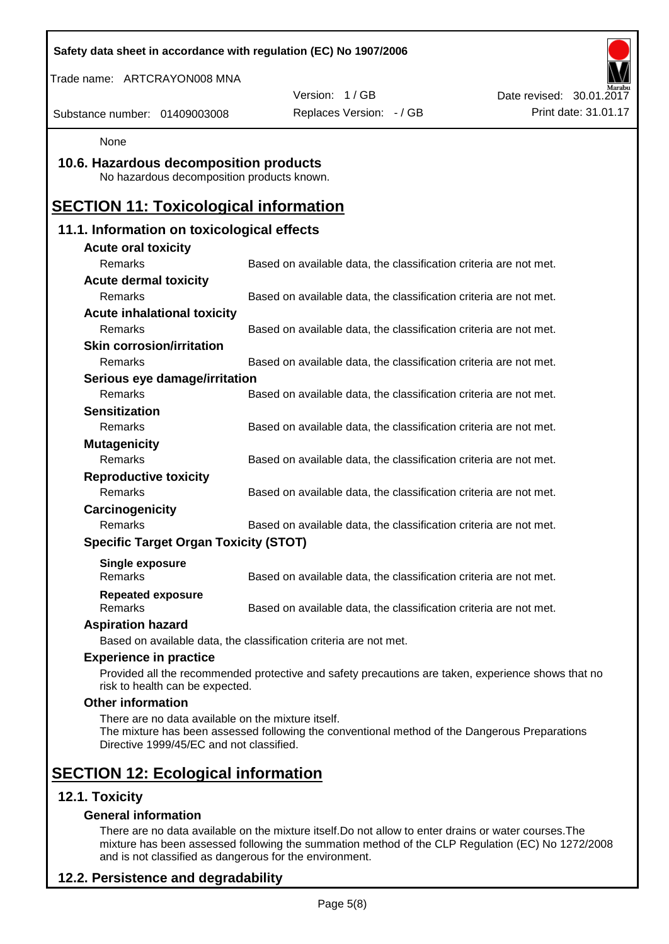| Safety data sheet in accordance with regulation (EC) No 1907/2006                              |                                                                                                    |                          |
|------------------------------------------------------------------------------------------------|----------------------------------------------------------------------------------------------------|--------------------------|
| Trade name: ARTCRAYON008 MNA                                                                   |                                                                                                    |                          |
|                                                                                                | Version: 1/GB                                                                                      | Date revised: 30.01.2017 |
| Substance number: 01409003008                                                                  | Replaces Version: - / GB                                                                           | Print date: 31.01.17     |
| None                                                                                           |                                                                                                    |                          |
| 10.6. Hazardous decomposition products<br>No hazardous decomposition products known.           |                                                                                                    |                          |
| <b>SECTION 11: Toxicological information</b>                                                   |                                                                                                    |                          |
| 11.1. Information on toxicological effects                                                     |                                                                                                    |                          |
| <b>Acute oral toxicity</b>                                                                     |                                                                                                    |                          |
| Remarks                                                                                        | Based on available data, the classification criteria are not met.                                  |                          |
| <b>Acute dermal toxicity</b>                                                                   |                                                                                                    |                          |
| Remarks                                                                                        | Based on available data, the classification criteria are not met.                                  |                          |
| <b>Acute inhalational toxicity</b>                                                             |                                                                                                    |                          |
| Remarks                                                                                        | Based on available data, the classification criteria are not met.                                  |                          |
| <b>Skin corrosion/irritation</b>                                                               |                                                                                                    |                          |
| <b>Remarks</b>                                                                                 | Based on available data, the classification criteria are not met.                                  |                          |
| Serious eye damage/irritation                                                                  |                                                                                                    |                          |
| Remarks                                                                                        | Based on available data, the classification criteria are not met.                                  |                          |
| <b>Sensitization</b>                                                                           |                                                                                                    |                          |
| Remarks                                                                                        | Based on available data, the classification criteria are not met.                                  |                          |
| <b>Mutagenicity</b><br>Remarks                                                                 |                                                                                                    |                          |
|                                                                                                | Based on available data, the classification criteria are not met.                                  |                          |
| <b>Reproductive toxicity</b><br>Remarks                                                        | Based on available data, the classification criteria are not met.                                  |                          |
| Carcinogenicity                                                                                |                                                                                                    |                          |
| Remarks                                                                                        | Based on available data, the classification criteria are not met.                                  |                          |
| <b>Specific Target Organ Toxicity (STOT)</b>                                                   |                                                                                                    |                          |
|                                                                                                |                                                                                                    |                          |
| <b>Single exposure</b><br>Remarks                                                              | Based on available data, the classification criteria are not met.                                  |                          |
| <b>Repeated exposure</b><br>Remarks                                                            | Based on available data, the classification criteria are not met.                                  |                          |
| <b>Aspiration hazard</b>                                                                       |                                                                                                    |                          |
|                                                                                                | Based on available data, the classification criteria are not met.                                  |                          |
| <b>Experience in practice</b>                                                                  |                                                                                                    |                          |
| risk to health can be expected.                                                                | Provided all the recommended protective and safety precautions are taken, experience shows that no |                          |
| <b>Other information</b>                                                                       |                                                                                                    |                          |
| There are no data available on the mixture itself.<br>Directive 1999/45/EC and not classified. | The mixture has been assessed following the conventional method of the Dangerous Preparations      |                          |
| <b>SECTION 12: Ecological information</b>                                                      |                                                                                                    |                          |
| 12.1. Toxicity                                                                                 |                                                                                                    |                          |
| <b>General information</b>                                                                     |                                                                                                    |                          |

There are no data available on the mixture itself.Do not allow to enter drains or water courses.The mixture has been assessed following the summation method of the CLP Regulation (EC) No 1272/2008 and is not classified as dangerous for the environment.

# **12.2. Persistence and degradability**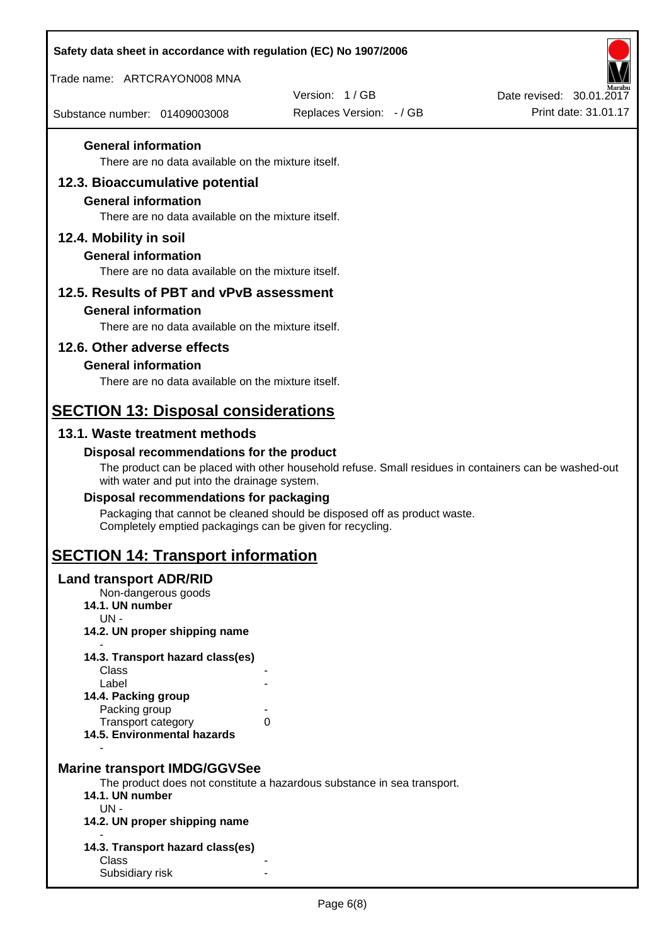| Safety data sheet in accordance with regulation (EC) No 1907/2006                |                                                                                                       |                          |
|----------------------------------------------------------------------------------|-------------------------------------------------------------------------------------------------------|--------------------------|
| Trade name: ARTCRAYON008 MNA                                                     |                                                                                                       |                          |
|                                                                                  | Version: 1/GB                                                                                         | Date revised: 30.01.2017 |
| Substance number: 01409003008                                                    | Replaces Version: - / GB                                                                              | Print date: 31.01.17     |
| <b>General information</b><br>There are no data available on the mixture itself. |                                                                                                       |                          |
| 12.3. Bioaccumulative potential                                                  |                                                                                                       |                          |
| <b>General information</b>                                                       |                                                                                                       |                          |
| There are no data available on the mixture itself.                               |                                                                                                       |                          |
| 12.4. Mobility in soil                                                           |                                                                                                       |                          |
| <b>General information</b>                                                       |                                                                                                       |                          |
| There are no data available on the mixture itself.                               |                                                                                                       |                          |
| 12.5. Results of PBT and vPvB assessment                                         |                                                                                                       |                          |
| <b>General information</b>                                                       |                                                                                                       |                          |
| There are no data available on the mixture itself.                               |                                                                                                       |                          |
| 12.6. Other adverse effects                                                      |                                                                                                       |                          |
| <b>General information</b><br>There are no data available on the mixture itself. |                                                                                                       |                          |
|                                                                                  |                                                                                                       |                          |
| <b>SECTION 13: Disposal considerations</b>                                       |                                                                                                       |                          |
| 13.1. Waste treatment methods                                                    |                                                                                                       |                          |
| Disposal recommendations for the product                                         |                                                                                                       |                          |
| with water and put into the drainage system.                                     | The product can be placed with other household refuse. Small residues in containers can be washed-out |                          |
| Disposal recommendations for packaging                                           |                                                                                                       |                          |
| Completely emptied packagings can be given for recycling.                        | Packaging that cannot be cleaned should be disposed off as product waste.                             |                          |
| <b>SECTION 14: Transport information</b>                                         |                                                                                                       |                          |
| <b>Land transport ADR/RID</b>                                                    |                                                                                                       |                          |
| Non-dangerous goods<br>14.1. UN number                                           |                                                                                                       |                          |
| $UN -$                                                                           |                                                                                                       |                          |
| 14.2. UN proper shipping name                                                    |                                                                                                       |                          |
| 14.3. Transport hazard class(es)                                                 |                                                                                                       |                          |
| Class<br>Label                                                                   |                                                                                                       |                          |
| 14.4. Packing group<br>Packing group                                             |                                                                                                       |                          |
| Transport category                                                               | 0                                                                                                     |                          |
| 14.5. Environmental hazards                                                      |                                                                                                       |                          |
|                                                                                  |                                                                                                       |                          |
| <b>Marine transport IMDG/GGVSee</b>                                              | The product does not constitute a hazardous substance in sea transport.                               |                          |
| 14.1. UN number<br>$UN -$                                                        |                                                                                                       |                          |
| 14.2. UN proper shipping name                                                    |                                                                                                       |                          |
| 14.3. Transport hazard class(es)                                                 |                                                                                                       |                          |
| Class                                                                            |                                                                                                       |                          |
| Subsidiary risk                                                                  |                                                                                                       |                          |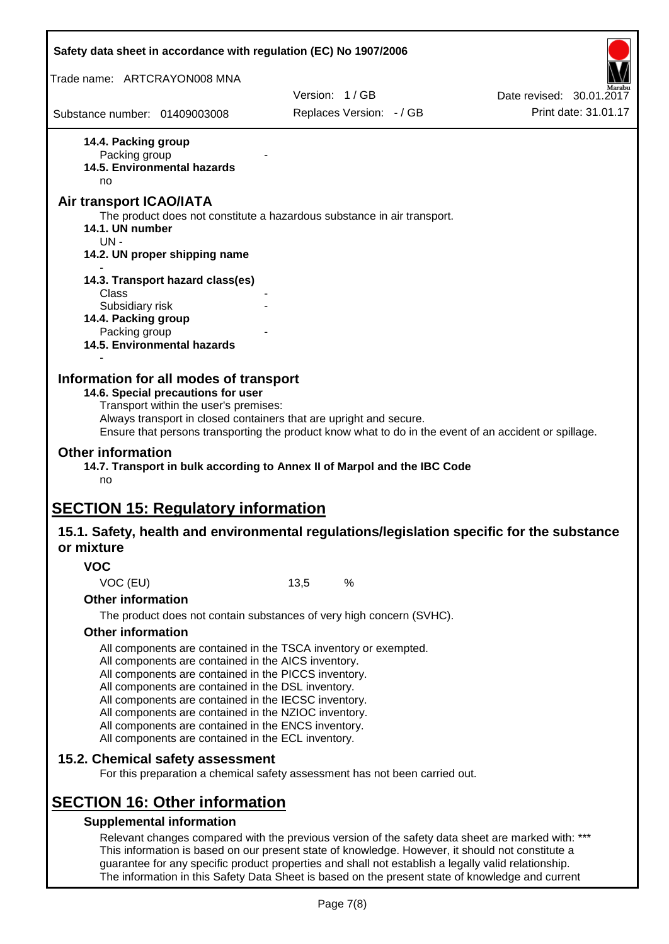| Safety data sheet in accordance with regulation (EC) No 1907/2006                                                                                                                                                                                                                                                                                                                                                          |                                                                                                     |                                                                                                                                                                                                       |
|----------------------------------------------------------------------------------------------------------------------------------------------------------------------------------------------------------------------------------------------------------------------------------------------------------------------------------------------------------------------------------------------------------------------------|-----------------------------------------------------------------------------------------------------|-------------------------------------------------------------------------------------------------------------------------------------------------------------------------------------------------------|
| Trade name: ARTCRAYON008 MNA                                                                                                                                                                                                                                                                                                                                                                                               |                                                                                                     |                                                                                                                                                                                                       |
|                                                                                                                                                                                                                                                                                                                                                                                                                            | Version: 1/GB                                                                                       | Date revised: 30.01.2017                                                                                                                                                                              |
| Substance number: 01409003008                                                                                                                                                                                                                                                                                                                                                                                              | Replaces Version: - / GB                                                                            | Print date: 31.01.17                                                                                                                                                                                  |
| 14.4. Packing group<br>Packing group<br><b>14.5. Environmental hazards</b><br>no<br><b>Air transport ICAO/IATA</b>                                                                                                                                                                                                                                                                                                         |                                                                                                     |                                                                                                                                                                                                       |
| 14.1. UN number<br>$UN -$                                                                                                                                                                                                                                                                                                                                                                                                  | The product does not constitute a hazardous substance in air transport.                             |                                                                                                                                                                                                       |
| 14.2. UN proper shipping name                                                                                                                                                                                                                                                                                                                                                                                              |                                                                                                     |                                                                                                                                                                                                       |
| 14.3. Transport hazard class(es)<br>Class<br>Subsidiary risk                                                                                                                                                                                                                                                                                                                                                               |                                                                                                     |                                                                                                                                                                                                       |
| 14.4. Packing group<br>Packing group<br>14.5. Environmental hazards                                                                                                                                                                                                                                                                                                                                                        |                                                                                                     |                                                                                                                                                                                                       |
| Information for all modes of transport<br>14.6. Special precautions for user<br>Transport within the user's premises:                                                                                                                                                                                                                                                                                                      | Always transport in closed containers that are upright and secure.                                  | Ensure that persons transporting the product know what to do in the event of an accident or spillage.                                                                                                 |
| <b>Other information</b><br>no                                                                                                                                                                                                                                                                                                                                                                                             | 14.7. Transport in bulk according to Annex II of Marpol and the IBC Code                            |                                                                                                                                                                                                       |
| <b>SECTION 15: Regulatory information</b>                                                                                                                                                                                                                                                                                                                                                                                  |                                                                                                     |                                                                                                                                                                                                       |
| or mixture                                                                                                                                                                                                                                                                                                                                                                                                                 |                                                                                                     | 15.1. Safety, health and environmental regulations/legislation specific for the substance                                                                                                             |
| <b>VOC</b>                                                                                                                                                                                                                                                                                                                                                                                                                 |                                                                                                     |                                                                                                                                                                                                       |
| VOC (EU)                                                                                                                                                                                                                                                                                                                                                                                                                   | %<br>13,5                                                                                           |                                                                                                                                                                                                       |
| <b>Other information</b>                                                                                                                                                                                                                                                                                                                                                                                                   |                                                                                                     |                                                                                                                                                                                                       |
|                                                                                                                                                                                                                                                                                                                                                                                                                            | The product does not contain substances of very high concern (SVHC).                                |                                                                                                                                                                                                       |
| <b>Other information</b><br>All components are contained in the AICS inventory.<br>All components are contained in the PICCS inventory.<br>All components are contained in the DSL inventory.<br>All components are contained in the IECSC inventory.<br>All components are contained in the NZIOC inventory.<br>All components are contained in the ENCS inventory.<br>All components are contained in the ECL inventory. | All components are contained in the TSCA inventory or exempted.                                     |                                                                                                                                                                                                       |
| 15.2. Chemical safety assessment                                                                                                                                                                                                                                                                                                                                                                                           | For this preparation a chemical safety assessment has not been carried out.                         |                                                                                                                                                                                                       |
| <b>SECTION 16: Other information</b>                                                                                                                                                                                                                                                                                                                                                                                       |                                                                                                     |                                                                                                                                                                                                       |
| <b>Supplemental information</b>                                                                                                                                                                                                                                                                                                                                                                                            |                                                                                                     |                                                                                                                                                                                                       |
|                                                                                                                                                                                                                                                                                                                                                                                                                            | guarantee for any specific product properties and shall not establish a legally valid relationship. | Relevant changes compared with the previous version of the safety data sheet are marked with: ***<br>This information is based on our present state of knowledge. However, it should not constitute a |

The information in this Safety Data Sheet is based on the present state of knowledge and current